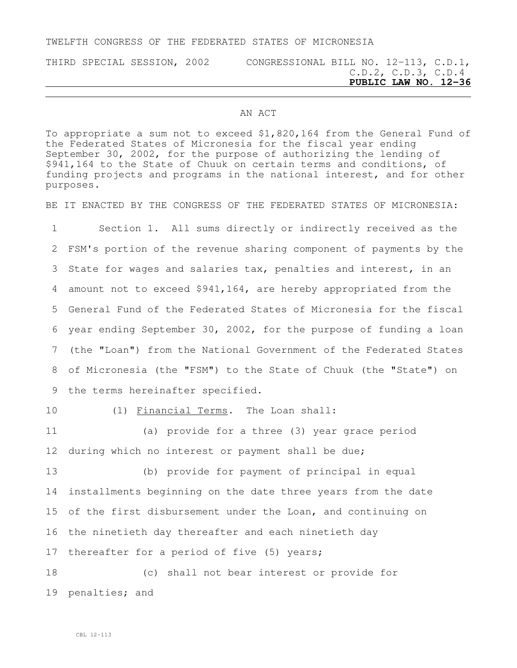## TWELFTH CONGRESS OF THE FEDERATED STATES OF MICRONESIA

## THIRD SPECIAL SESSION, 2002 CONGRESSIONAL BILL NO. 12-113, C.D.1, C.D.2, C.D.3, C.D.4 **PUBLIC LAW NO. 12-36**

## AN ACT

To appropriate a sum not to exceed \$1,820,164 from the General Fund of the Federated States of Micronesia for the fiscal year ending September 30, 2002, for the purpose of authorizing the lending of \$941,164 to the State of Chuuk on certain terms and conditions, of funding projects and programs in the national interest, and for other purposes.

BE IT ENACTED BY THE CONGRESS OF THE FEDERATED STATES OF MICRONESIA:

 Section 1. All sums directly or indirectly received as the FSM's portion of the revenue sharing component of payments by the State for wages and salaries tax, penalties and interest, in an amount not to exceed \$941,164, are hereby appropriated from the General Fund of the Federated States of Micronesia for the fiscal year ending September 30, 2002, for the purpose of funding a loan (the "Loan") from the National Government of the Federated States of Micronesia (the "FSM") to the State of Chuuk (the "State") on the terms hereinafter specified.

10 (1) Financial Terms. The Loan shall:

11 (a) provide for a three (3) year grace period 12 during which no interest or payment shall be due;

 (b) provide for payment of principal in equal installments beginning on the date three years from the date of the first disbursement under the Loan, and continuing on the ninetieth day thereafter and each ninetieth day 17 thereafter for a period of five (5) years;

18 (c) shall not bear interest or provide for 19 penalties; and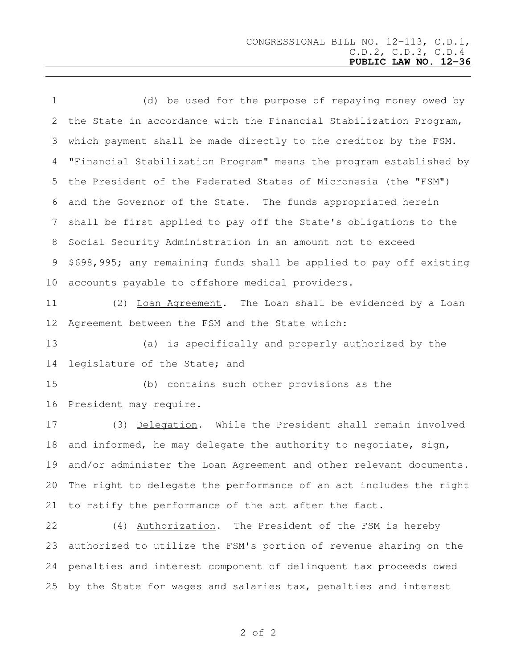(d) be used for the purpose of repaying money owed by the State in accordance with the Financial Stabilization Program, which payment shall be made directly to the creditor by the FSM. "Financial Stabilization Program" means the program established by the President of the Federated States of Micronesia (the "FSM") and the Governor of the State. The funds appropriated herein shall be first applied to pay off the State's obligations to the Social Security Administration in an amount not to exceed \$698,995; any remaining funds shall be applied to pay off existing accounts payable to offshore medical providers. (2) Loan Agreement. The Loan shall be evidenced by a Loan Agreement between the FSM and the State which: (a) is specifically and properly authorized by the legislature of the State; and (b) contains such other provisions as the President may require. (3) Delegation. While the President shall remain involved and informed, he may delegate the authority to negotiate, sign, and/or administer the Loan Agreement and other relevant documents. The right to delegate the performance of an act includes the right to ratify the performance of the act after the fact.

 (4) Authorization. The President of the FSM is hereby authorized to utilize the FSM's portion of revenue sharing on the penalties and interest component of delinquent tax proceeds owed by the State for wages and salaries tax, penalties and interest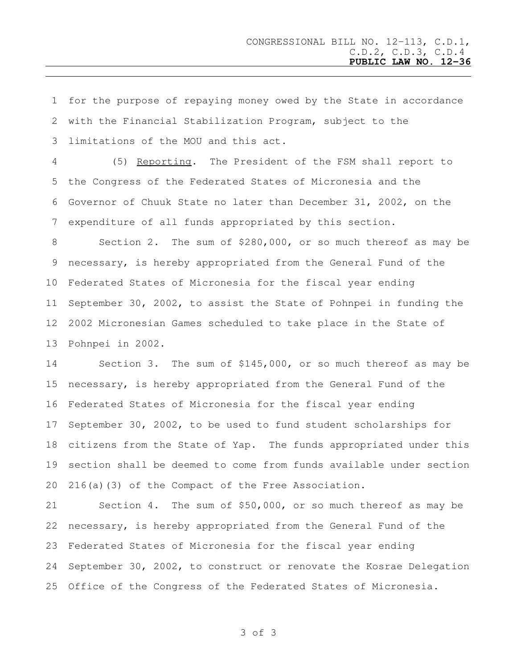for the purpose of repaying money owed by the State in accordance with the Financial Stabilization Program, subject to the limitations of the MOU and this act.

 (5) Reporting. The President of the FSM shall report to the Congress of the Federated States of Micronesia and the Governor of Chuuk State no later than December 31, 2002, on the expenditure of all funds appropriated by this section.

 Section 2. The sum of \$280,000, or so much thereof as may be necessary, is hereby appropriated from the General Fund of the Federated States of Micronesia for the fiscal year ending September 30, 2002, to assist the State of Pohnpei in funding the 2002 Micronesian Games scheduled to take place in the State of Pohnpei in 2002.

 Section 3. The sum of \$145,000, or so much thereof as may be necessary, is hereby appropriated from the General Fund of the Federated States of Micronesia for the fiscal year ending September 30, 2002, to be used to fund student scholarships for citizens from the State of Yap. The funds appropriated under this section shall be deemed to come from funds available under section 216(a)(3) of the Compact of the Free Association.

 Section 4. The sum of \$50,000, or so much thereof as may be necessary, is hereby appropriated from the General Fund of the Federated States of Micronesia for the fiscal year ending September 30, 2002, to construct or renovate the Kosrae Delegation Office of the Congress of the Federated States of Micronesia.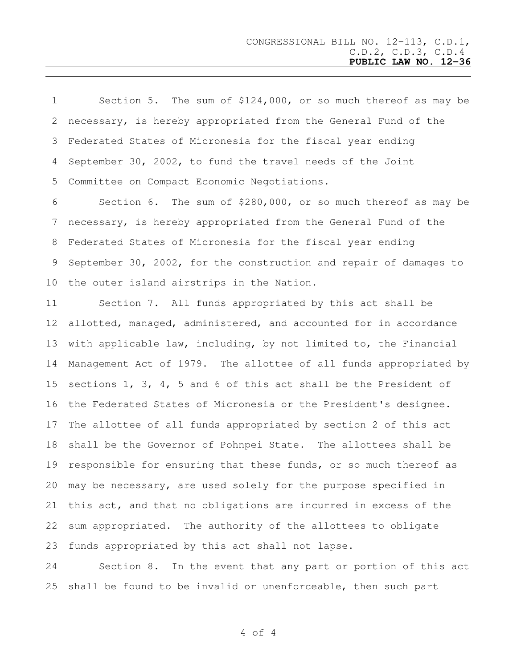| $1 \quad \blacksquare$<br>Section 5. The sum of $$124,000$ , or so much thereof as may be |
|-------------------------------------------------------------------------------------------|
| 2 necessary, is hereby appropriated from the General Fund of the                          |
| 3 Federated States of Micronesia for the fiscal year ending                               |
| 4 September 30, 2002, to fund the travel needs of the Joint                               |
| 5 Committee on Compact Economic Negotiations.                                             |
| 6<br>Section 6. The sum of $$280,000$ , or so much thereof as may be                      |
| 7 necessary, is hereby appropriated from the General Fund of the                          |
| 8 Federated States of Micronesia for the fiscal year ending                               |
| 9 September 30, 2002, for the construction and repair of damages to                       |
| 10 the outer island airstrips in the Nation.                                              |

 Section 7. All funds appropriated by this act shall be allotted, managed, administered, and accounted for in accordance with applicable law, including, by not limited to, the Financial Management Act of 1979. The allottee of all funds appropriated by sections 1, 3, 4, 5 and 6 of this act shall be the President of the Federated States of Micronesia or the President's designee. The allottee of all funds appropriated by section 2 of this act shall be the Governor of Pohnpei State. The allottees shall be responsible for ensuring that these funds, or so much thereof as may be necessary, are used solely for the purpose specified in this act, and that no obligations are incurred in excess of the sum appropriated. The authority of the allottees to obligate funds appropriated by this act shall not lapse.

 Section 8. In the event that any part or portion of this act shall be found to be invalid or unenforceable, then such part

of 4